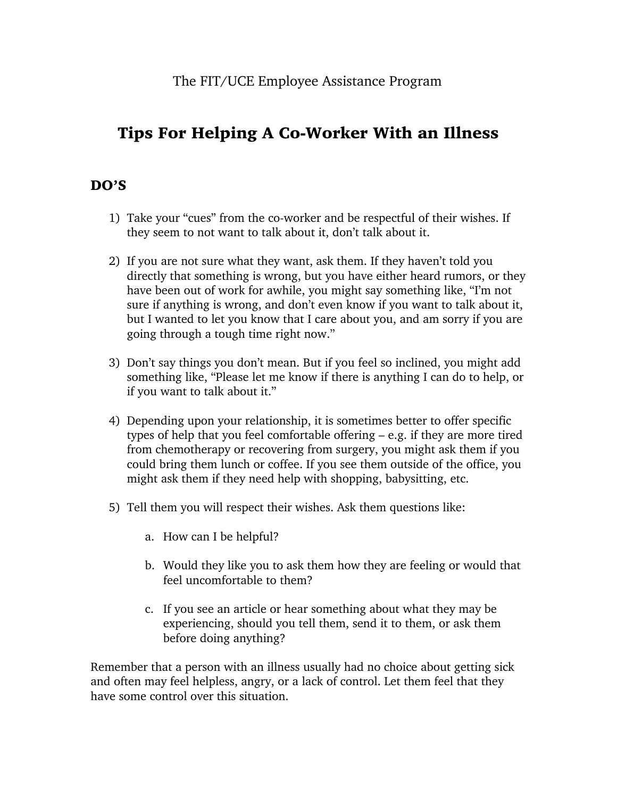## Tips For Helping A Co-Worker With an Illness

## DO'S

- 1) Take your "cues" from the co-worker and be respectful of their wishes. If they seem to not want to talk about it, don't talk about it.
- 2) If you are not sure what they want, ask them. If they haven't told you directly that something is wrong, but you have either heard rumors, or they have been out of work for awhile, you might say something like, "I'm not sure if anything is wrong, and don't even know if you want to talk about it, but I wanted to let you know that I care about you, and am sorry if you are going through a tough time right now."
- 3) Don't say things you don't mean. But if you feel so inclined, you might add something like, "Please let me know if there is anything I can do to help, or if you want to talk about it."
- 4) Depending upon your relationship, it is sometimes better to offer specific types of help that you feel comfortable offering – e.g. if they are more tired from chemotherapy or recovering from surgery, you might ask them if you could bring them lunch or coffee. If you see them outside of the office, you might ask them if they need help with shopping, babysitting, etc.
- 5) Tell them you will respect their wishes. Ask them questions like:
	- a. How can I be helpful?
	- b. Would they like you to ask them how they are feeling or would that feel uncomfortable to them?
	- c. If you see an article or hear something about what they may be experiencing, should you tell them, send it to them, or ask them before doing anything?

Remember that a person with an illness usually had no choice about getting sick and often may feel helpless, angry, or a lack of control. Let them feel that they have some control over this situation.